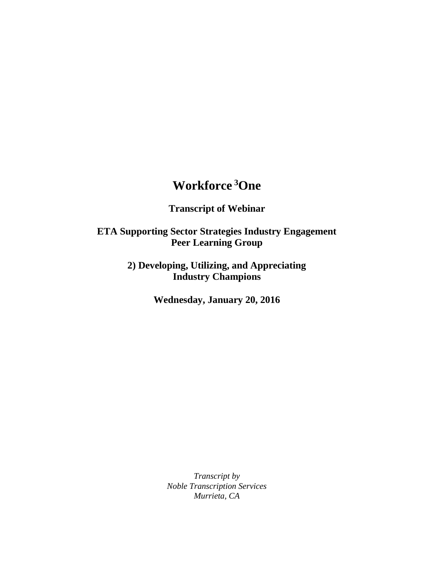## **Workforce <sup>3</sup>One**

**Transcript of Webinar**

**ETA Supporting Sector Strategies Industry Engagement Peer Learning Group**

> **2) Developing, Utilizing, and Appreciating Industry Champions**

> > **Wednesday, January 20, 2016**

*Transcript by Noble Transcription Services Murrieta, CA*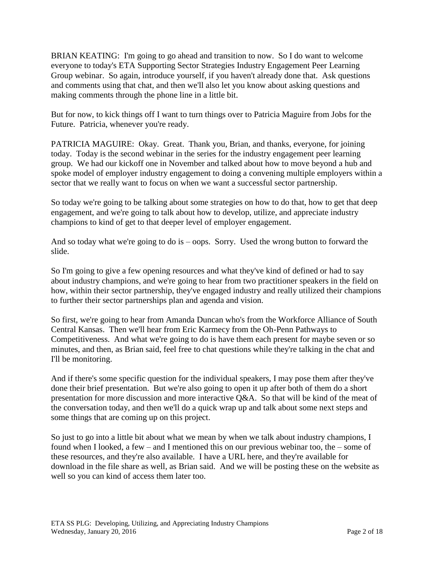BRIAN KEATING: I'm going to go ahead and transition to now. So I do want to welcome everyone to today's ETA Supporting Sector Strategies Industry Engagement Peer Learning Group webinar. So again, introduce yourself, if you haven't already done that. Ask questions and comments using that chat, and then we'll also let you know about asking questions and making comments through the phone line in a little bit.

But for now, to kick things off I want to turn things over to Patricia Maguire from Jobs for the Future. Patricia, whenever you're ready.

PATRICIA MAGUIRE: Okay. Great. Thank you, Brian, and thanks, everyone, for joining today. Today is the second webinar in the series for the industry engagement peer learning group. We had our kickoff one in November and talked about how to move beyond a hub and spoke model of employer industry engagement to doing a convening multiple employers within a sector that we really want to focus on when we want a successful sector partnership.

So today we're going to be talking about some strategies on how to do that, how to get that deep engagement, and we're going to talk about how to develop, utilize, and appreciate industry champions to kind of get to that deeper level of employer engagement.

And so today what we're going to do is – oops. Sorry. Used the wrong button to forward the slide.

So I'm going to give a few opening resources and what they've kind of defined or had to say about industry champions, and we're going to hear from two practitioner speakers in the field on how, within their sector partnership, they've engaged industry and really utilized their champions to further their sector partnerships plan and agenda and vision.

So first, we're going to hear from Amanda Duncan who's from the Workforce Alliance of South Central Kansas. Then we'll hear from Eric Karmecy from the Oh-Penn Pathways to Competitiveness. And what we're going to do is have them each present for maybe seven or so minutes, and then, as Brian said, feel free to chat questions while they're talking in the chat and I'll be monitoring.

And if there's some specific question for the individual speakers, I may pose them after they've done their brief presentation. But we're also going to open it up after both of them do a short presentation for more discussion and more interactive Q&A. So that will be kind of the meat of the conversation today, and then we'll do a quick wrap up and talk about some next steps and some things that are coming up on this project.

So just to go into a little bit about what we mean by when we talk about industry champions, I found when I looked, a few – and I mentioned this on our previous webinar too, the – some of these resources, and they're also available. I have a URL here, and they're available for download in the file share as well, as Brian said. And we will be posting these on the website as well so you can kind of access them later too.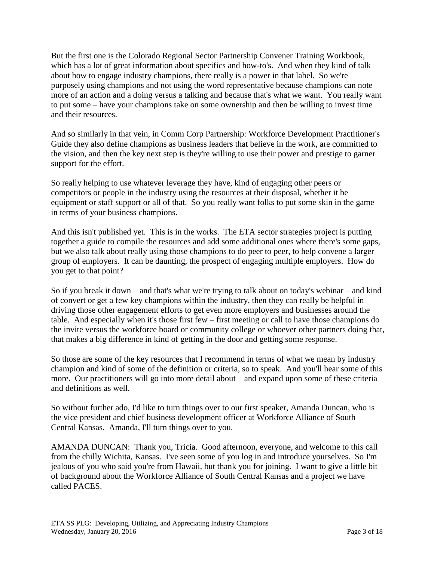But the first one is the Colorado Regional Sector Partnership Convener Training Workbook, which has a lot of great information about specifics and how-to's. And when they kind of talk about how to engage industry champions, there really is a power in that label. So we're purposely using champions and not using the word representative because champions can note more of an action and a doing versus a talking and because that's what we want. You really want to put some – have your champions take on some ownership and then be willing to invest time and their resources.

And so similarly in that vein, in Comm Corp Partnership: Workforce Development Practitioner's Guide they also define champions as business leaders that believe in the work, are committed to the vision, and then the key next step is they're willing to use their power and prestige to garner support for the effort.

So really helping to use whatever leverage they have, kind of engaging other peers or competitors or people in the industry using the resources at their disposal, whether it be equipment or staff support or all of that. So you really want folks to put some skin in the game in terms of your business champions.

And this isn't published yet. This is in the works. The ETA sector strategies project is putting together a guide to compile the resources and add some additional ones where there's some gaps, but we also talk about really using those champions to do peer to peer, to help convene a larger group of employers. It can be daunting, the prospect of engaging multiple employers. How do you get to that point?

So if you break it down – and that's what we're trying to talk about on today's webinar – and kind of convert or get a few key champions within the industry, then they can really be helpful in driving those other engagement efforts to get even more employers and businesses around the table. And especially when it's those first few – first meeting or call to have those champions do the invite versus the workforce board or community college or whoever other partners doing that, that makes a big difference in kind of getting in the door and getting some response.

So those are some of the key resources that I recommend in terms of what we mean by industry champion and kind of some of the definition or criteria, so to speak. And you'll hear some of this more. Our practitioners will go into more detail about – and expand upon some of these criteria and definitions as well.

So without further ado, I'd like to turn things over to our first speaker, Amanda Duncan, who is the vice president and chief business development officer at Workforce Alliance of South Central Kansas. Amanda, I'll turn things over to you.

AMANDA DUNCAN: Thank you, Tricia. Good afternoon, everyone, and welcome to this call from the chilly Wichita, Kansas. I've seen some of you log in and introduce yourselves. So I'm jealous of you who said you're from Hawaii, but thank you for joining. I want to give a little bit of background about the Workforce Alliance of South Central Kansas and a project we have called PACES.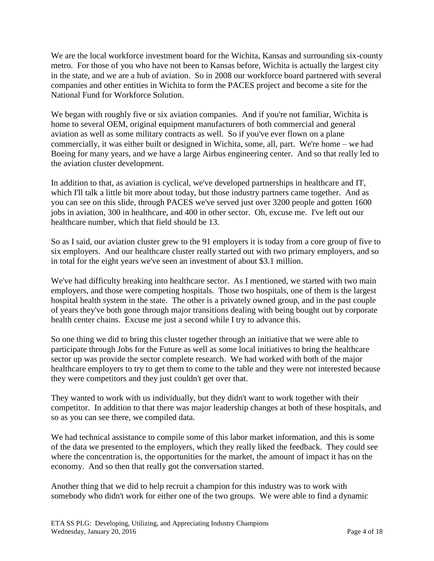We are the local workforce investment board for the Wichita, Kansas and surrounding six-county metro. For those of you who have not been to Kansas before, Wichita is actually the largest city in the state, and we are a hub of aviation. So in 2008 our workforce board partnered with several companies and other entities in Wichita to form the PACES project and become a site for the National Fund for Workforce Solution.

We began with roughly five or six aviation companies. And if you're not familiar, Wichita is home to several OEM, original equipment manufacturers of both commercial and general aviation as well as some military contracts as well. So if you've ever flown on a plane commercially, it was either built or designed in Wichita, some, all, part. We're home – we had Boeing for many years, and we have a large Airbus engineering center. And so that really led to the aviation cluster development.

In addition to that, as aviation is cyclical, we've developed partnerships in healthcare and IT, which I'll talk a little bit more about today, but those industry partners came together. And as you can see on this slide, through PACES we've served just over 3200 people and gotten 1600 jobs in aviation, 300 in healthcare, and 400 in other sector. Oh, excuse me. I've left out our healthcare number, which that field should be 13.

So as I said, our aviation cluster grew to the 91 employers it is today from a core group of five to six employers. And our healthcare cluster really started out with two primary employers, and so in total for the eight years we've seen an investment of about \$3.1 million.

We've had difficulty breaking into healthcare sector. As I mentioned, we started with two main employers, and those were competing hospitals. Those two hospitals, one of them is the largest hospital health system in the state. The other is a privately owned group, and in the past couple of years they've both gone through major transitions dealing with being bought out by corporate health center chains. Excuse me just a second while I try to advance this.

So one thing we did to bring this cluster together through an initiative that we were able to participate through Jobs for the Future as well as some local initiatives to bring the healthcare sector up was provide the sector complete research. We had worked with both of the major healthcare employers to try to get them to come to the table and they were not interested because they were competitors and they just couldn't get over that.

They wanted to work with us individually, but they didn't want to work together with their competitor. In addition to that there was major leadership changes at both of these hospitals, and so as you can see there, we compiled data.

We had technical assistance to compile some of this labor market information, and this is some of the data we presented to the employers, which they really liked the feedback. They could see where the concentration is, the opportunities for the market, the amount of impact it has on the economy. And so then that really got the conversation started.

Another thing that we did to help recruit a champion for this industry was to work with somebody who didn't work for either one of the two groups. We were able to find a dynamic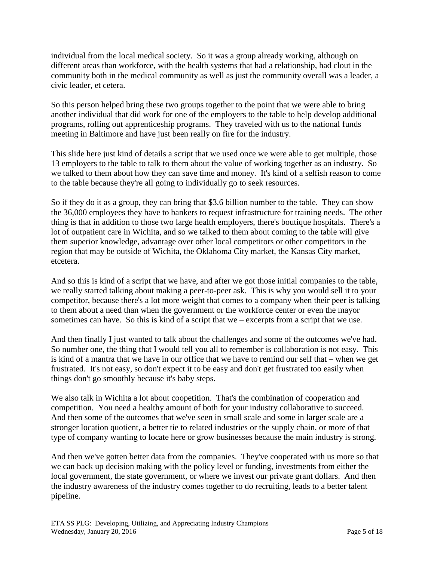individual from the local medical society. So it was a group already working, although on different areas than workforce, with the health systems that had a relationship, had clout in the community both in the medical community as well as just the community overall was a leader, a civic leader, et cetera.

So this person helped bring these two groups together to the point that we were able to bring another individual that did work for one of the employers to the table to help develop additional programs, rolling out apprenticeship programs. They traveled with us to the national funds meeting in Baltimore and have just been really on fire for the industry.

This slide here just kind of details a script that we used once we were able to get multiple, those 13 employers to the table to talk to them about the value of working together as an industry. So we talked to them about how they can save time and money. It's kind of a selfish reason to come to the table because they're all going to individually go to seek resources.

So if they do it as a group, they can bring that \$3.6 billion number to the table. They can show the 36,000 employees they have to bankers to request infrastructure for training needs. The other thing is that in addition to those two large health employers, there's boutique hospitals. There's a lot of outpatient care in Wichita, and so we talked to them about coming to the table will give them superior knowledge, advantage over other local competitors or other competitors in the region that may be outside of Wichita, the Oklahoma City market, the Kansas City market, etcetera.

And so this is kind of a script that we have, and after we got those initial companies to the table, we really started talking about making a peer-to-peer ask. This is why you would sell it to your competitor, because there's a lot more weight that comes to a company when their peer is talking to them about a need than when the government or the workforce center or even the mayor sometimes can have. So this is kind of a script that we – excerpts from a script that we use.

And then finally I just wanted to talk about the challenges and some of the outcomes we've had. So number one, the thing that I would tell you all to remember is collaboration is not easy. This is kind of a mantra that we have in our office that we have to remind our self that – when we get frustrated. It's not easy, so don't expect it to be easy and don't get frustrated too easily when things don't go smoothly because it's baby steps.

We also talk in Wichita a lot about coopetition. That's the combination of cooperation and competition. You need a healthy amount of both for your industry collaborative to succeed. And then some of the outcomes that we've seen in small scale and some in larger scale are a stronger location quotient, a better tie to related industries or the supply chain, or more of that type of company wanting to locate here or grow businesses because the main industry is strong.

And then we've gotten better data from the companies. They've cooperated with us more so that we can back up decision making with the policy level or funding, investments from either the local government, the state government, or where we invest our private grant dollars. And then the industry awareness of the industry comes together to do recruiting, leads to a better talent pipeline.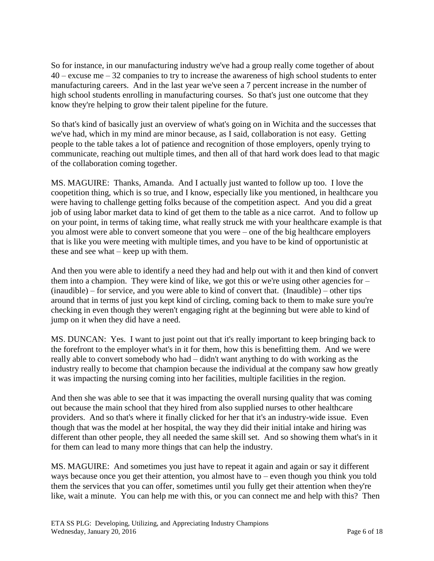So for instance, in our manufacturing industry we've had a group really come together of about 40 – excuse me – 32 companies to try to increase the awareness of high school students to enter manufacturing careers. And in the last year we've seen a 7 percent increase in the number of high school students enrolling in manufacturing courses. So that's just one outcome that they know they're helping to grow their talent pipeline for the future.

So that's kind of basically just an overview of what's going on in Wichita and the successes that we've had, which in my mind are minor because, as I said, collaboration is not easy. Getting people to the table takes a lot of patience and recognition of those employers, openly trying to communicate, reaching out multiple times, and then all of that hard work does lead to that magic of the collaboration coming together.

MS. MAGUIRE: Thanks, Amanda. And I actually just wanted to follow up too. I love the coopetition thing, which is so true, and I know, especially like you mentioned, in healthcare you were having to challenge getting folks because of the competition aspect. And you did a great job of using labor market data to kind of get them to the table as a nice carrot. And to follow up on your point, in terms of taking time, what really struck me with your healthcare example is that you almost were able to convert someone that you were – one of the big healthcare employers that is like you were meeting with multiple times, and you have to be kind of opportunistic at these and see what – keep up with them.

And then you were able to identify a need they had and help out with it and then kind of convert them into a champion. They were kind of like, we got this or we're using other agencies for  $-$ (inaudible) – for service, and you were able to kind of convert that. (Inaudible) – other tips around that in terms of just you kept kind of circling, coming back to them to make sure you're checking in even though they weren't engaging right at the beginning but were able to kind of jump on it when they did have a need.

MS. DUNCAN: Yes. I want to just point out that it's really important to keep bringing back to the forefront to the employer what's in it for them, how this is benefitting them. And we were really able to convert somebody who had – didn't want anything to do with working as the industry really to become that champion because the individual at the company saw how greatly it was impacting the nursing coming into her facilities, multiple facilities in the region.

And then she was able to see that it was impacting the overall nursing quality that was coming out because the main school that they hired from also supplied nurses to other healthcare providers. And so that's where it finally clicked for her that it's an industry-wide issue. Even though that was the model at her hospital, the way they did their initial intake and hiring was different than other people, they all needed the same skill set. And so showing them what's in it for them can lead to many more things that can help the industry.

MS. MAGUIRE: And sometimes you just have to repeat it again and again or say it different ways because once you get their attention, you almost have to – even though you think you told them the services that you can offer, sometimes until you fully get their attention when they're like, wait a minute. You can help me with this, or you can connect me and help with this? Then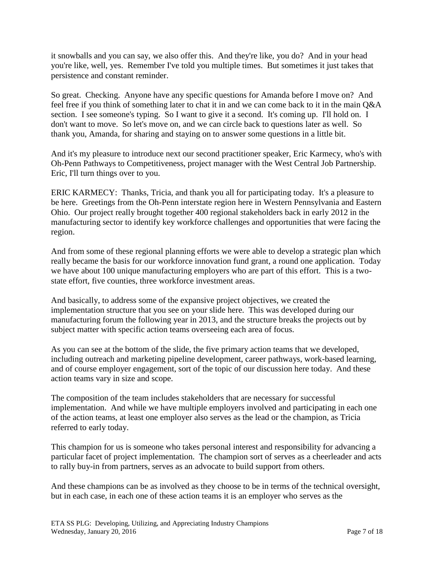it snowballs and you can say, we also offer this. And they're like, you do? And in your head you're like, well, yes. Remember I've told you multiple times. But sometimes it just takes that persistence and constant reminder.

So great. Checking. Anyone have any specific questions for Amanda before I move on? And feel free if you think of something later to chat it in and we can come back to it in the main Q&A section. I see someone's typing. So I want to give it a second. It's coming up. I'll hold on. I don't want to move. So let's move on, and we can circle back to questions later as well. So thank you, Amanda, for sharing and staying on to answer some questions in a little bit.

And it's my pleasure to introduce next our second practitioner speaker, Eric Karmecy, who's with Oh-Penn Pathways to Competitiveness, project manager with the West Central Job Partnership. Eric, I'll turn things over to you.

ERIC KARMECY: Thanks, Tricia, and thank you all for participating today. It's a pleasure to be here. Greetings from the Oh-Penn interstate region here in Western Pennsylvania and Eastern Ohio. Our project really brought together 400 regional stakeholders back in early 2012 in the manufacturing sector to identify key workforce challenges and opportunities that were facing the region.

And from some of these regional planning efforts we were able to develop a strategic plan which really became the basis for our workforce innovation fund grant, a round one application. Today we have about 100 unique manufacturing employers who are part of this effort. This is a twostate effort, five counties, three workforce investment areas.

And basically, to address some of the expansive project objectives, we created the implementation structure that you see on your slide here. This was developed during our manufacturing forum the following year in 2013, and the structure breaks the projects out by subject matter with specific action teams overseeing each area of focus.

As you can see at the bottom of the slide, the five primary action teams that we developed, including outreach and marketing pipeline development, career pathways, work-based learning, and of course employer engagement, sort of the topic of our discussion here today. And these action teams vary in size and scope.

The composition of the team includes stakeholders that are necessary for successful implementation. And while we have multiple employers involved and participating in each one of the action teams, at least one employer also serves as the lead or the champion, as Tricia referred to early today.

This champion for us is someone who takes personal interest and responsibility for advancing a particular facet of project implementation. The champion sort of serves as a cheerleader and acts to rally buy-in from partners, serves as an advocate to build support from others.

And these champions can be as involved as they choose to be in terms of the technical oversight, but in each case, in each one of these action teams it is an employer who serves as the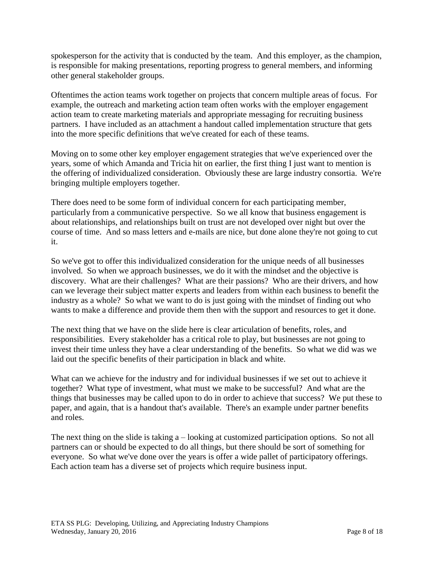spokesperson for the activity that is conducted by the team. And this employer, as the champion, is responsible for making presentations, reporting progress to general members, and informing other general stakeholder groups.

Oftentimes the action teams work together on projects that concern multiple areas of focus. For example, the outreach and marketing action team often works with the employer engagement action team to create marketing materials and appropriate messaging for recruiting business partners. I have included as an attachment a handout called implementation structure that gets into the more specific definitions that we've created for each of these teams.

Moving on to some other key employer engagement strategies that we've experienced over the years, some of which Amanda and Tricia hit on earlier, the first thing I just want to mention is the offering of individualized consideration. Obviously these are large industry consortia. We're bringing multiple employers together.

There does need to be some form of individual concern for each participating member, particularly from a communicative perspective. So we all know that business engagement is about relationships, and relationships built on trust are not developed over night but over the course of time. And so mass letters and e-mails are nice, but done alone they're not going to cut it.

So we've got to offer this individualized consideration for the unique needs of all businesses involved. So when we approach businesses, we do it with the mindset and the objective is discovery. What are their challenges? What are their passions? Who are their drivers, and how can we leverage their subject matter experts and leaders from within each business to benefit the industry as a whole? So what we want to do is just going with the mindset of finding out who wants to make a difference and provide them then with the support and resources to get it done.

The next thing that we have on the slide here is clear articulation of benefits, roles, and responsibilities. Every stakeholder has a critical role to play, but businesses are not going to invest their time unless they have a clear understanding of the benefits. So what we did was we laid out the specific benefits of their participation in black and white.

What can we achieve for the industry and for individual businesses if we set out to achieve it together? What type of investment, what must we make to be successful? And what are the things that businesses may be called upon to do in order to achieve that success? We put these to paper, and again, that is a handout that's available. There's an example under partner benefits and roles.

The next thing on the slide is taking a – looking at customized participation options. So not all partners can or should be expected to do all things, but there should be sort of something for everyone. So what we've done over the years is offer a wide pallet of participatory offerings. Each action team has a diverse set of projects which require business input.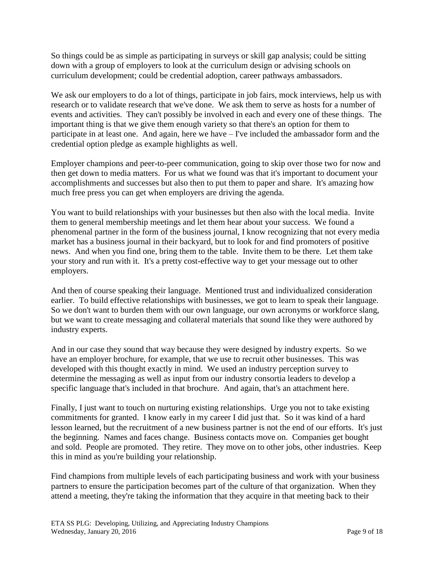So things could be as simple as participating in surveys or skill gap analysis; could be sitting down with a group of employers to look at the curriculum design or advising schools on curriculum development; could be credential adoption, career pathways ambassadors.

We ask our employers to do a lot of things, participate in job fairs, mock interviews, help us with research or to validate research that we've done. We ask them to serve as hosts for a number of events and activities. They can't possibly be involved in each and every one of these things. The important thing is that we give them enough variety so that there's an option for them to participate in at least one. And again, here we have – I've included the ambassador form and the credential option pledge as example highlights as well.

Employer champions and peer-to-peer communication, going to skip over those two for now and then get down to media matters. For us what we found was that it's important to document your accomplishments and successes but also then to put them to paper and share. It's amazing how much free press you can get when employers are driving the agenda.

You want to build relationships with your businesses but then also with the local media. Invite them to general membership meetings and let them hear about your success. We found a phenomenal partner in the form of the business journal, I know recognizing that not every media market has a business journal in their backyard, but to look for and find promoters of positive news. And when you find one, bring them to the table. Invite them to be there. Let them take your story and run with it. It's a pretty cost-effective way to get your message out to other employers.

And then of course speaking their language. Mentioned trust and individualized consideration earlier. To build effective relationships with businesses, we got to learn to speak their language. So we don't want to burden them with our own language, our own acronyms or workforce slang, but we want to create messaging and collateral materials that sound like they were authored by industry experts.

And in our case they sound that way because they were designed by industry experts. So we have an employer brochure, for example, that we use to recruit other businesses. This was developed with this thought exactly in mind. We used an industry perception survey to determine the messaging as well as input from our industry consortia leaders to develop a specific language that's included in that brochure. And again, that's an attachment here.

Finally, I just want to touch on nurturing existing relationships. Urge you not to take existing commitments for granted. I know early in my career I did just that. So it was kind of a hard lesson learned, but the recruitment of a new business partner is not the end of our efforts. It's just the beginning. Names and faces change. Business contacts move on. Companies get bought and sold. People are promoted. They retire. They move on to other jobs, other industries. Keep this in mind as you're building your relationship.

Find champions from multiple levels of each participating business and work with your business partners to ensure the participation becomes part of the culture of that organization. When they attend a meeting, they're taking the information that they acquire in that meeting back to their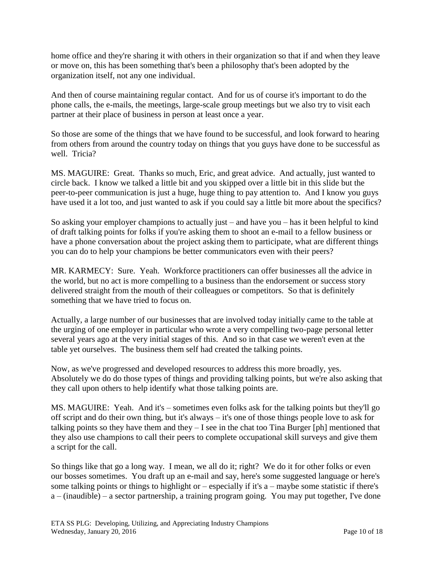home office and they're sharing it with others in their organization so that if and when they leave or move on, this has been something that's been a philosophy that's been adopted by the organization itself, not any one individual.

And then of course maintaining regular contact. And for us of course it's important to do the phone calls, the e-mails, the meetings, large-scale group meetings but we also try to visit each partner at their place of business in person at least once a year.

So those are some of the things that we have found to be successful, and look forward to hearing from others from around the country today on things that you guys have done to be successful as well. Tricia?

MS. MAGUIRE: Great. Thanks so much, Eric, and great advice. And actually, just wanted to circle back. I know we talked a little bit and you skipped over a little bit in this slide but the peer-to-peer communication is just a huge, huge thing to pay attention to. And I know you guys have used it a lot too, and just wanted to ask if you could say a little bit more about the specifics?

So asking your employer champions to actually just – and have you – has it been helpful to kind of draft talking points for folks if you're asking them to shoot an e-mail to a fellow business or have a phone conversation about the project asking them to participate, what are different things you can do to help your champions be better communicators even with their peers?

MR. KARMECY: Sure. Yeah. Workforce practitioners can offer businesses all the advice in the world, but no act is more compelling to a business than the endorsement or success story delivered straight from the mouth of their colleagues or competitors. So that is definitely something that we have tried to focus on.

Actually, a large number of our businesses that are involved today initially came to the table at the urging of one employer in particular who wrote a very compelling two-page personal letter several years ago at the very initial stages of this. And so in that case we weren't even at the table yet ourselves. The business them self had created the talking points.

Now, as we've progressed and developed resources to address this more broadly, yes. Absolutely we do do those types of things and providing talking points, but we're also asking that they call upon others to help identify what those talking points are.

MS. MAGUIRE: Yeah. And it's – sometimes even folks ask for the talking points but they'll go off script and do their own thing, but it's always – it's one of those things people love to ask for talking points so they have them and they – I see in the chat too Tina Burger [ph] mentioned that they also use champions to call their peers to complete occupational skill surveys and give them a script for the call.

So things like that go a long way. I mean, we all do it; right? We do it for other folks or even our bosses sometimes. You draft up an e-mail and say, here's some suggested language or here's some talking points or things to highlight or – especially if it's a – maybe some statistic if there's a – (inaudible) – a sector partnership, a training program going. You may put together, I've done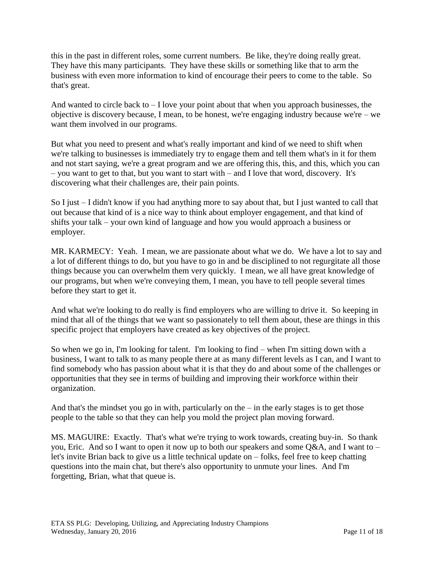this in the past in different roles, some current numbers. Be like, they're doing really great. They have this many participants. They have these skills or something like that to arm the business with even more information to kind of encourage their peers to come to the table. So that's great.

And wanted to circle back to  $-1$  love your point about that when you approach businesses, the objective is discovery because, I mean, to be honest, we're engaging industry because we're – we want them involved in our programs.

But what you need to present and what's really important and kind of we need to shift when we're talking to businesses is immediately try to engage them and tell them what's in it for them and not start saying, we're a great program and we are offering this, this, and this, which you can – you want to get to that, but you want to start with – and I love that word, discovery. It's discovering what their challenges are, their pain points.

So I just – I didn't know if you had anything more to say about that, but I just wanted to call that out because that kind of is a nice way to think about employer engagement, and that kind of shifts your talk – your own kind of language and how you would approach a business or employer.

MR. KARMECY: Yeah. I mean, we are passionate about what we do. We have a lot to say and a lot of different things to do, but you have to go in and be disciplined to not regurgitate all those things because you can overwhelm them very quickly. I mean, we all have great knowledge of our programs, but when we're conveying them, I mean, you have to tell people several times before they start to get it.

And what we're looking to do really is find employers who are willing to drive it. So keeping in mind that all of the things that we want so passionately to tell them about, these are things in this specific project that employers have created as key objectives of the project.

So when we go in, I'm looking for talent. I'm looking to find – when I'm sitting down with a business, I want to talk to as many people there at as many different levels as I can, and I want to find somebody who has passion about what it is that they do and about some of the challenges or opportunities that they see in terms of building and improving their workforce within their organization.

And that's the mindset you go in with, particularly on the – in the early stages is to get those people to the table so that they can help you mold the project plan moving forward.

MS. MAGUIRE: Exactly. That's what we're trying to work towards, creating buy-in. So thank you, Eric. And so I want to open it now up to both our speakers and some Q&A, and I want to – let's invite Brian back to give us a little technical update on – folks, feel free to keep chatting questions into the main chat, but there's also opportunity to unmute your lines. And I'm forgetting, Brian, what that queue is.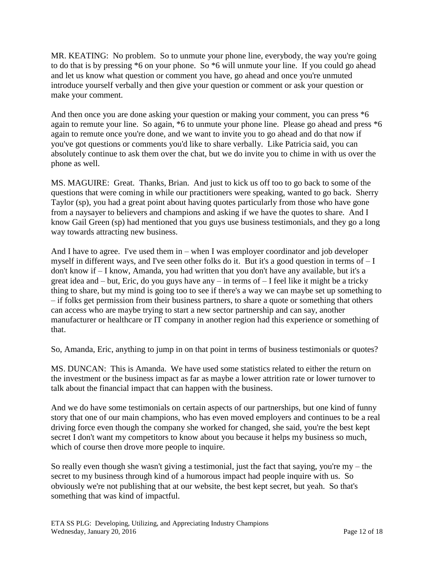MR. KEATING: No problem. So to unmute your phone line, everybody, the way you're going to do that is by pressing \*6 on your phone. So \*6 will unmute your line. If you could go ahead and let us know what question or comment you have, go ahead and once you're unmuted introduce yourself verbally and then give your question or comment or ask your question or make your comment.

And then once you are done asking your question or making your comment, you can press  $*6$ again to remute your line. So again, \*6 to unmute your phone line. Please go ahead and press \*6 again to remute once you're done, and we want to invite you to go ahead and do that now if you've got questions or comments you'd like to share verbally. Like Patricia said, you can absolutely continue to ask them over the chat, but we do invite you to chime in with us over the phone as well.

MS. MAGUIRE: Great. Thanks, Brian. And just to kick us off too to go back to some of the questions that were coming in while our practitioners were speaking, wanted to go back. Sherry Taylor (sp), you had a great point about having quotes particularly from those who have gone from a naysayer to believers and champions and asking if we have the quotes to share. And I know Gail Green (sp) had mentioned that you guys use business testimonials, and they go a long way towards attracting new business.

And I have to agree. I've used them in – when I was employer coordinator and job developer myself in different ways, and I've seen other folks do it. But it's a good question in terms of  $-I$ don't know if – I know, Amanda, you had written that you don't have any available, but it's a great idea and – but, Eric, do you guys have any – in terms of – I feel like it might be a tricky thing to share, but my mind is going too to see if there's a way we can maybe set up something to – if folks get permission from their business partners, to share a quote or something that others can access who are maybe trying to start a new sector partnership and can say, another manufacturer or healthcare or IT company in another region had this experience or something of that.

So, Amanda, Eric, anything to jump in on that point in terms of business testimonials or quotes?

MS. DUNCAN: This is Amanda. We have used some statistics related to either the return on the investment or the business impact as far as maybe a lower attrition rate or lower turnover to talk about the financial impact that can happen with the business.

And we do have some testimonials on certain aspects of our partnerships, but one kind of funny story that one of our main champions, who has even moved employers and continues to be a real driving force even though the company she worked for changed, she said, you're the best kept secret I don't want my competitors to know about you because it helps my business so much, which of course then drove more people to inquire.

So really even though she wasn't giving a testimonial, just the fact that saying, you're  $my -$  the secret to my business through kind of a humorous impact had people inquire with us. So obviously we're not publishing that at our website, the best kept secret, but yeah. So that's something that was kind of impactful.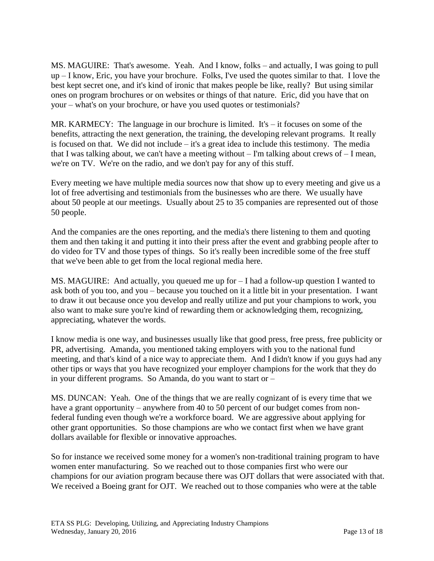MS. MAGUIRE: That's awesome. Yeah. And I know, folks – and actually, I was going to pull up – I know, Eric, you have your brochure. Folks, I've used the quotes similar to that. I love the best kept secret one, and it's kind of ironic that makes people be like, really? But using similar ones on program brochures or on websites or things of that nature. Eric, did you have that on your – what's on your brochure, or have you used quotes or testimonials?

MR. KARMECY: The language in our brochure is limited. It's – it focuses on some of the benefits, attracting the next generation, the training, the developing relevant programs. It really is focused on that. We did not include – it's a great idea to include this testimony. The media that I was talking about, we can't have a meeting without  $-$  I'm talking about crews of  $-$  I mean, we're on TV. We're on the radio, and we don't pay for any of this stuff.

Every meeting we have multiple media sources now that show up to every meeting and give us a lot of free advertising and testimonials from the businesses who are there. We usually have about 50 people at our meetings. Usually about 25 to 35 companies are represented out of those 50 people.

And the companies are the ones reporting, and the media's there listening to them and quoting them and then taking it and putting it into their press after the event and grabbing people after to do video for TV and those types of things. So it's really been incredible some of the free stuff that we've been able to get from the local regional media here.

MS. MAGUIRE: And actually, you queued me up for – I had a follow-up question I wanted to ask both of you too, and you – because you touched on it a little bit in your presentation. I want to draw it out because once you develop and really utilize and put your champions to work, you also want to make sure you're kind of rewarding them or acknowledging them, recognizing, appreciating, whatever the words.

I know media is one way, and businesses usually like that good press, free press, free publicity or PR, advertising. Amanda, you mentioned taking employers with you to the national fund meeting, and that's kind of a nice way to appreciate them. And I didn't know if you guys had any other tips or ways that you have recognized your employer champions for the work that they do in your different programs. So Amanda, do you want to start or –

MS. DUNCAN: Yeah. One of the things that we are really cognizant of is every time that we have a grant opportunity – anywhere from 40 to 50 percent of our budget comes from nonfederal funding even though we're a workforce board. We are aggressive about applying for other grant opportunities. So those champions are who we contact first when we have grant dollars available for flexible or innovative approaches.

So for instance we received some money for a women's non-traditional training program to have women enter manufacturing. So we reached out to those companies first who were our champions for our aviation program because there was OJT dollars that were associated with that. We received a Boeing grant for OJT. We reached out to those companies who were at the table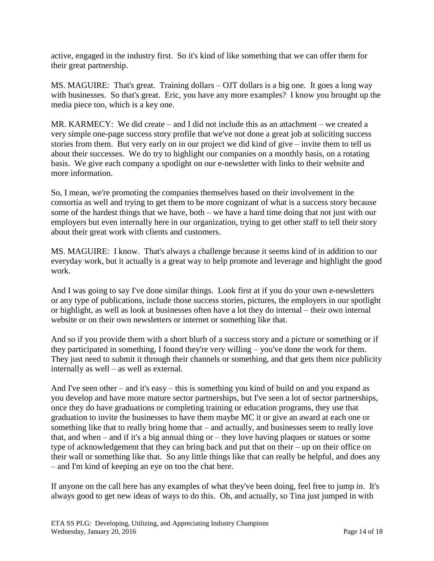active, engaged in the industry first. So it's kind of like something that we can offer them for their great partnership.

MS. MAGUIRE: That's great. Training dollars – OJT dollars is a big one. It goes a long way with businesses. So that's great. Eric, you have any more examples? I know you brought up the media piece too, which is a key one.

MR. KARMECY: We did create – and I did not include this as an attachment – we created a very simple one-page success story profile that we've not done a great job at soliciting success stories from them. But very early on in our project we did kind of give – invite them to tell us about their successes. We do try to highlight our companies on a monthly basis, on a rotating basis. We give each company a spotlight on our e-newsletter with links to their website and more information.

So, I mean, we're promoting the companies themselves based on their involvement in the consortia as well and trying to get them to be more cognizant of what is a success story because some of the hardest things that we have, both – we have a hard time doing that not just with our employers but even internally here in our organization, trying to get other staff to tell their story about their great work with clients and customers.

MS. MAGUIRE: I know. That's always a challenge because it seems kind of in addition to our everyday work, but it actually is a great way to help promote and leverage and highlight the good work.

And I was going to say I've done similar things. Look first at if you do your own e-newsletters or any type of publications, include those success stories, pictures, the employers in our spotlight or highlight, as well as look at businesses often have a lot they do internal – their own internal website or on their own newsletters or internet or something like that.

And so if you provide them with a short blurb of a success story and a picture or something or if they participated in something, I found they're very willing – you've done the work for them. They just need to submit it through their channels or something, and that gets them nice publicity internally as well – as well as external.

And I've seen other – and it's easy – this is something you kind of build on and you expand as you develop and have more mature sector partnerships, but I've seen a lot of sector partnerships, once they do have graduations or completing training or education programs, they use that graduation to invite the businesses to have them maybe MC it or give an award at each one or something like that to really bring home that – and actually, and businesses seem to really love that, and when – and if it's a big annual thing or – they love having plaques or statues or some type of acknowledgement that they can bring back and put that on their – up on their office on their wall or something like that. So any little things like that can really be helpful, and does any – and I'm kind of keeping an eye on too the chat here.

If anyone on the call here has any examples of what they've been doing, feel free to jump in. It's always good to get new ideas of ways to do this. Oh, and actually, so Tina just jumped in with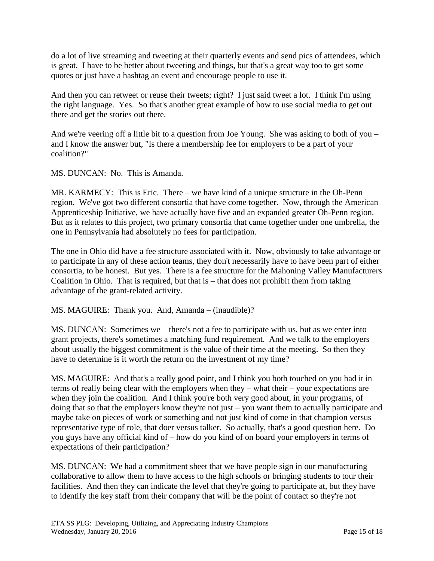do a lot of live streaming and tweeting at their quarterly events and send pics of attendees, which is great. I have to be better about tweeting and things, but that's a great way too to get some quotes or just have a hashtag an event and encourage people to use it.

And then you can retweet or reuse their tweets; right? I just said tweet a lot. I think I'm using the right language. Yes. So that's another great example of how to use social media to get out there and get the stories out there.

And we're veering off a little bit to a question from Joe Young. She was asking to both of you – and I know the answer but, "Is there a membership fee for employers to be a part of your coalition?"

MS. DUNCAN: No. This is Amanda.

MR. KARMECY: This is Eric. There – we have kind of a unique structure in the Oh-Penn region. We've got two different consortia that have come together. Now, through the American Apprenticeship Initiative, we have actually have five and an expanded greater Oh-Penn region. But as it relates to this project, two primary consortia that came together under one umbrella, the one in Pennsylvania had absolutely no fees for participation.

The one in Ohio did have a fee structure associated with it. Now, obviously to take advantage or to participate in any of these action teams, they don't necessarily have to have been part of either consortia, to be honest. But yes. There is a fee structure for the Mahoning Valley Manufacturers Coalition in Ohio. That is required, but that is – that does not prohibit them from taking advantage of the grant-related activity.

MS. MAGUIRE: Thank you. And, Amanda – (inaudible)?

MS. DUNCAN: Sometimes we – there's not a fee to participate with us, but as we enter into grant projects, there's sometimes a matching fund requirement. And we talk to the employers about usually the biggest commitment is the value of their time at the meeting. So then they have to determine is it worth the return on the investment of my time?

MS. MAGUIRE: And that's a really good point, and I think you both touched on you had it in terms of really being clear with the employers when they – what their – your expectations are when they join the coalition. And I think you're both very good about, in your programs, of doing that so that the employers know they're not just – you want them to actually participate and maybe take on pieces of work or something and not just kind of come in that champion versus representative type of role, that doer versus talker. So actually, that's a good question here. Do you guys have any official kind of – how do you kind of on board your employers in terms of expectations of their participation?

MS. DUNCAN: We had a commitment sheet that we have people sign in our manufacturing collaborative to allow them to have access to the high schools or bringing students to tour their facilities. And then they can indicate the level that they're going to participate at, but they have to identify the key staff from their company that will be the point of contact so they're not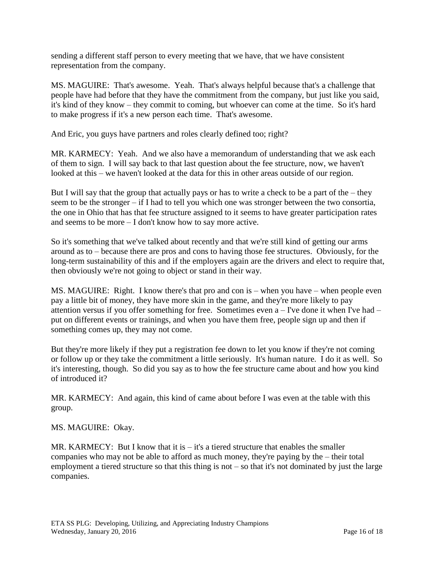sending a different staff person to every meeting that we have, that we have consistent representation from the company.

MS. MAGUIRE: That's awesome. Yeah. That's always helpful because that's a challenge that people have had before that they have the commitment from the company, but just like you said, it's kind of they know – they commit to coming, but whoever can come at the time. So it's hard to make progress if it's a new person each time. That's awesome.

And Eric, you guys have partners and roles clearly defined too; right?

MR. KARMECY: Yeah. And we also have a memorandum of understanding that we ask each of them to sign. I will say back to that last question about the fee structure, now, we haven't looked at this – we haven't looked at the data for this in other areas outside of our region.

But I will say that the group that actually pays or has to write a check to be a part of the – they seem to be the stronger – if I had to tell you which one was stronger between the two consortia, the one in Ohio that has that fee structure assigned to it seems to have greater participation rates and seems to be more – I don't know how to say more active.

So it's something that we've talked about recently and that we're still kind of getting our arms around as to – because there are pros and cons to having those fee structures. Obviously, for the long-term sustainability of this and if the employers again are the drivers and elect to require that, then obviously we're not going to object or stand in their way.

MS. MAGUIRE: Right. I know there's that pro and con is – when you have – when people even pay a little bit of money, they have more skin in the game, and they're more likely to pay attention versus if you offer something for free. Sometimes even  $a - I'$ ve done it when I've had – put on different events or trainings, and when you have them free, people sign up and then if something comes up, they may not come.

But they're more likely if they put a registration fee down to let you know if they're not coming or follow up or they take the commitment a little seriously. It's human nature. I do it as well. So it's interesting, though. So did you say as to how the fee structure came about and how you kind of introduced it?

MR. KARMECY: And again, this kind of came about before I was even at the table with this group.

MS. MAGUIRE: Okay.

MR. KARMECY: But I know that it is  $-$  it's a tiered structure that enables the smaller companies who may not be able to afford as much money, they're paying by the – their total employment a tiered structure so that this thing is not – so that it's not dominated by just the large companies.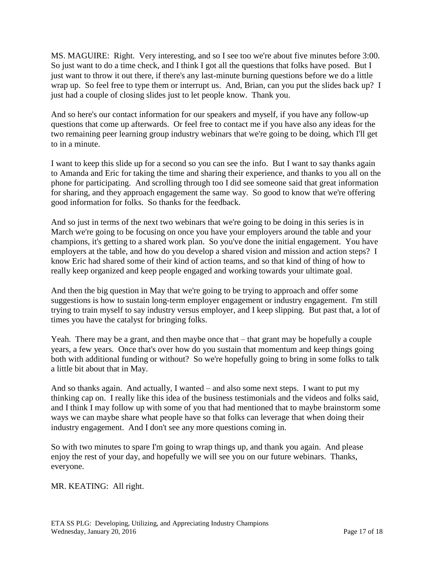MS. MAGUIRE: Right. Very interesting, and so I see too we're about five minutes before 3:00. So just want to do a time check, and I think I got all the questions that folks have posed. But I just want to throw it out there, if there's any last-minute burning questions before we do a little wrap up. So feel free to type them or interrupt us. And, Brian, can you put the slides back up? I just had a couple of closing slides just to let people know. Thank you.

And so here's our contact information for our speakers and myself, if you have any follow-up questions that come up afterwards. Or feel free to contact me if you have also any ideas for the two remaining peer learning group industry webinars that we're going to be doing, which I'll get to in a minute.

I want to keep this slide up for a second so you can see the info. But I want to say thanks again to Amanda and Eric for taking the time and sharing their experience, and thanks to you all on the phone for participating. And scrolling through too I did see someone said that great information for sharing, and they approach engagement the same way. So good to know that we're offering good information for folks. So thanks for the feedback.

And so just in terms of the next two webinars that we're going to be doing in this series is in March we're going to be focusing on once you have your employers around the table and your champions, it's getting to a shared work plan. So you've done the initial engagement. You have employers at the table, and how do you develop a shared vision and mission and action steps? I know Eric had shared some of their kind of action teams, and so that kind of thing of how to really keep organized and keep people engaged and working towards your ultimate goal.

And then the big question in May that we're going to be trying to approach and offer some suggestions is how to sustain long-term employer engagement or industry engagement. I'm still trying to train myself to say industry versus employer, and I keep slipping. But past that, a lot of times you have the catalyst for bringing folks.

Yeah. There may be a grant, and then maybe once that – that grant may be hopefully a couple years, a few years. Once that's over how do you sustain that momentum and keep things going both with additional funding or without? So we're hopefully going to bring in some folks to talk a little bit about that in May.

And so thanks again. And actually, I wanted – and also some next steps. I want to put my thinking cap on. I really like this idea of the business testimonials and the videos and folks said, and I think I may follow up with some of you that had mentioned that to maybe brainstorm some ways we can maybe share what people have so that folks can leverage that when doing their industry engagement. And I don't see any more questions coming in.

So with two minutes to spare I'm going to wrap things up, and thank you again. And please enjoy the rest of your day, and hopefully we will see you on our future webinars. Thanks, everyone.

MR. KEATING: All right.